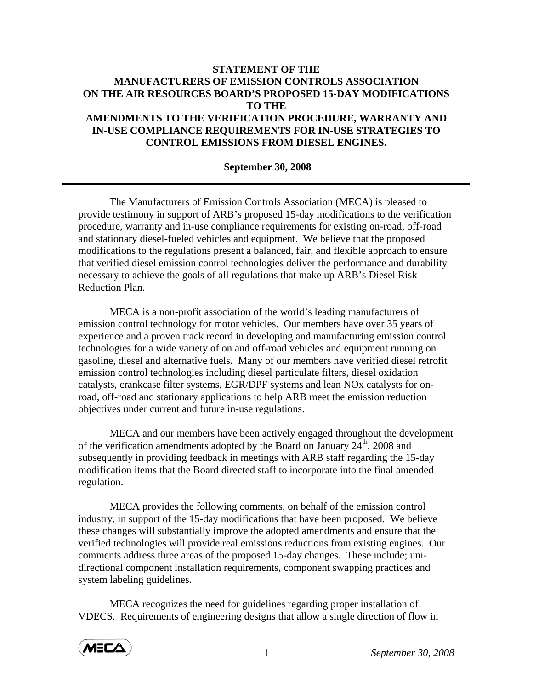## **STATEMENT OF THE MANUFACTURERS OF EMISSION CONTROLS ASSOCIATION ON THE AIR RESOURCES BOARD'S PROPOSED 15-DAY MODIFICATIONS TO THE AMENDMENTS TO THE VERIFICATION PROCEDURE, WARRANTY AND IN-USE COMPLIANCE REQUIREMENTS FOR IN-USE STRATEGIES TO CONTROL EMISSIONS FROM DIESEL ENGINES.**

## **September 30, 2008**

 The Manufacturers of Emission Controls Association (MECA) is pleased to provide testimony in support of ARB's proposed 15-day modifications to the verification procedure, warranty and in-use compliance requirements for existing on-road, off-road and stationary diesel-fueled vehicles and equipment. We believe that the proposed modifications to the regulations present a balanced, fair, and flexible approach to ensure that verified diesel emission control technologies deliver the performance and durability necessary to achieve the goals of all regulations that make up ARB's Diesel Risk Reduction Plan.

 MECA is a non-profit association of the world's leading manufacturers of emission control technology for motor vehicles. Our members have over 35 years of experience and a proven track record in developing and manufacturing emission control technologies for a wide variety of on and off-road vehicles and equipment running on gasoline, diesel and alternative fuels. Many of our members have verified diesel retrofit emission control technologies including diesel particulate filters, diesel oxidation catalysts, crankcase filter systems, EGR/DPF systems and lean NOx catalysts for onroad, off-road and stationary applications to help ARB meet the emission reduction objectives under current and future in-use regulations.

MECA and our members have been actively engaged throughout the development of the verification amendments adopted by the Board on January  $24<sup>th</sup>$ , 2008 and subsequently in providing feedback in meetings with ARB staff regarding the 15-day modification items that the Board directed staff to incorporate into the final amended regulation.

MECA provides the following comments, on behalf of the emission control industry, in support of the 15-day modifications that have been proposed. We believe these changes will substantially improve the adopted amendments and ensure that the verified technologies will provide real emissions reductions from existing engines. Our comments address three areas of the proposed 15-day changes. These include; unidirectional component installation requirements, component swapping practices and system labeling guidelines.

MECA recognizes the need for guidelines regarding proper installation of VDECS. Requirements of engineering designs that allow a single direction of flow in